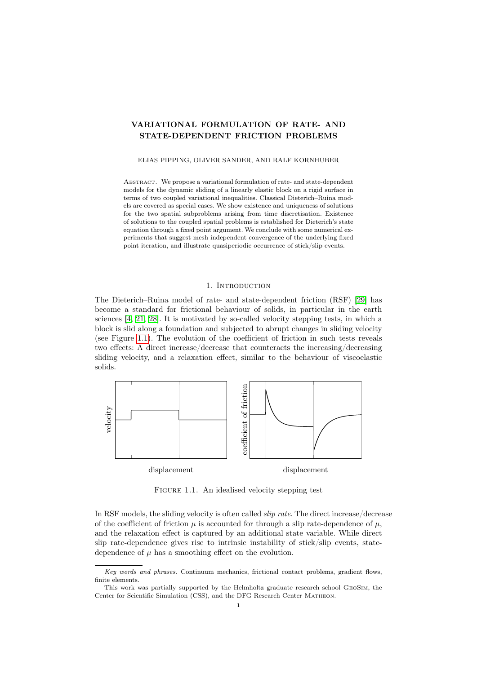# VARIATIONAL FORMULATION OF RATE- AND STATE-DEPENDENT FRICTION PROBLEMS

### ELIAS PIPPING, OLIVER SANDER, AND RALF KORNHUBER

Abstract. We propose a variational formulation of rate- and state-dependent models for the dynamic sliding of a linearly elastic block on a rigid surface in terms of two coupled variational inequalities. Classical Dieterich–Ruina models are covered as special cases. We show existence and uniqueness of solutions for the two spatial subproblems arising from time discretisation. Existence of solutions to the coupled spatial problems is established for Dieterich's state equation through a fixed point argument. We conclude with some numerical experiments that suggest mesh independent convergence of the underlying fixed point iteration, and illustrate quasiperiodic occurrence of stick/slip events.

# 1. INTRODUCTION

The Dieterich–Ruina model of rate- and state-dependent friction (RSF) [\[29\]](#page-19-0) has become a standard for frictional behaviour of solids, in particular in the earth sciences [\[4,](#page-18-0) [21,](#page-19-1) [28\]](#page-19-2). It is motivated by so-called velocity stepping tests, in which a block is slid along a foundation and subjected to abrupt changes in sliding velocity (see Figure [1.1\)](#page-0-0). The evolution of the coefficient of friction in such tests reveals two effects: A direct increase/decrease that counteracts the increasing/decreasing sliding velocity, and a relaxation effect, similar to the behaviour of viscoelastic solids.

<span id="page-0-0"></span>

FIGURE 1.1. An idealised velocity stepping test

In RSF models, the sliding velocity is often called slip rate. The direct increase/decrease of the coefficient of friction  $\mu$  is accounted for through a slip rate-dependence of  $\mu$ , and the relaxation effect is captured by an additional state variable. While direct slip rate-dependence gives rise to intrinsic instability of stick/slip events, statedependence of  $\mu$  has a smoothing effect on the evolution.

Key words and phrases. Continuum mechanics, frictional contact problems, gradient flows, finite elements.

This work was partially supported by the Helmholtz graduate research school GeoSim, the Center for Scientific Simulation (CSS), and the DFG Research Center Matheon.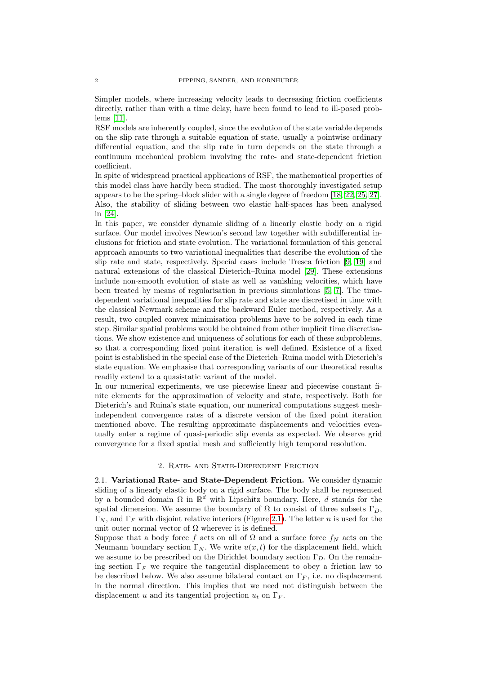Simpler models, where increasing velocity leads to decreasing friction coefficients directly, rather than with a time delay, have been found to lead to ill-posed problems [\[11\]](#page-19-3).

RSF models are inherently coupled, since the evolution of the state variable depends on the slip rate through a suitable equation of state, usually a pointwise ordinary differential equation, and the slip rate in turn depends on the state through a continuum mechanical problem involving the rate- and state-dependent friction coefficient.

In spite of widespread practical applications of RSF, the mathematical properties of this model class have hardly been studied. The most thoroughly investigated setup appears to be the spring–block slider with a single degree of freedom [\[18,](#page-19-4) [22,](#page-19-5) [25,](#page-19-6) [27\]](#page-19-7). Also, the stability of sliding between two elastic half-spaces has been analysed in [\[24\]](#page-19-8).

In this paper, we consider dynamic sliding of a linearly elastic body on a rigid surface. Our model involves Newton's second law together with subdifferential inclusions for friction and state evolution. The variational formulation of this general approach amounts to two variational inequalities that describe the evolution of the slip rate and state, respectively. Special cases include Tresca friction [\[9,](#page-18-1) [19\]](#page-19-9) and natural extensions of the classical Dieterich–Ruina model [\[29\]](#page-19-0). These extensions include non-smooth evolution of state as well as vanishing velocities, which have been treated by means of regularisation in previous simulations [\[5,](#page-18-2) [7\]](#page-18-3). The timedependent variational inequalities for slip rate and state are discretised in time with the classical Newmark scheme and the backward Euler method, respectively. As a result, two coupled convex minimisation problems have to be solved in each time step. Similar spatial problems would be obtained from other implicit time discretisations. We show existence and uniqueness of solutions for each of these subproblems, so that a corresponding fixed point iteration is well defined. Existence of a fixed point is established in the special case of the Dieterich–Ruina model with Dieterich's state equation. We emphasise that corresponding variants of our theoretical results readily extend to a quasistatic variant of the model.

In our numerical experiments, we use piecewise linear and piecewise constant finite elements for the approximation of velocity and state, respectively. Both for Dieterich's and Ruina's state equation, our numerical computations suggest meshindependent convergence rates of a discrete version of the fixed point iteration mentioned above. The resulting approximate displacements and velocities eventually enter a regime of quasi-periodic slip events as expected. We observe grid convergence for a fixed spatial mesh and sufficiently high temporal resolution.

#### 2. Rate- and State-Dependent Friction

<span id="page-1-0"></span>2.1. Variational Rate- and State-Dependent Friction. We consider dynamic sliding of a linearly elastic body on a rigid surface. The body shall be represented by a bounded domain  $\Omega$  in  $\mathbb{R}^d$  with Lipschitz boundary. Here, d stands for the spatial dimension. We assume the boundary of  $\Omega$  to consist of three subsets  $\Gamma_D$ ,  $\Gamma_N$ , and  $\Gamma_F$  with disjoint relative interiors (Figure [2.1\)](#page-2-0). The letter n is used for the unit outer normal vector of  $\Omega$  wherever it is defined.

Suppose that a body force f acts on all of  $\Omega$  and a surface force  $f_N$  acts on the Neumann boundary section  $\Gamma_N$ . We write  $u(x, t)$  for the displacement field, which we assume to be prescribed on the Dirichlet boundary section  $\Gamma_D$ . On the remaining section  $\Gamma_F$  we require the tangential displacement to obey a friction law to be described below. We also assume bilateral contact on  $\Gamma_F$ , i.e. no displacement in the normal direction. This implies that we need not distinguish between the displacement u and its tangential projection  $u_t$  on  $\Gamma_F$ .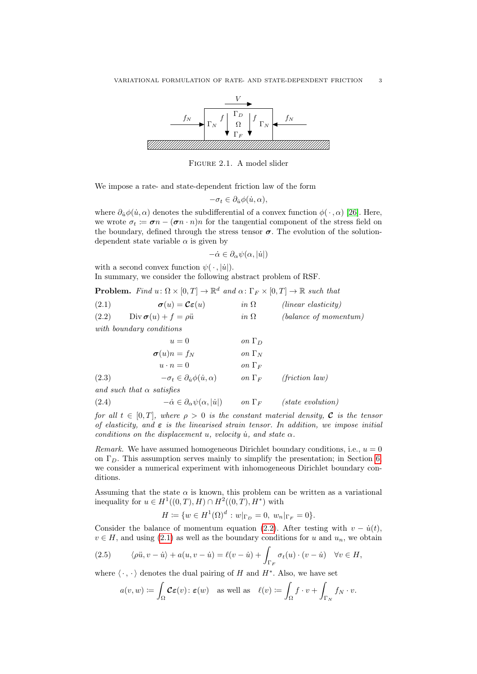<span id="page-2-0"></span>

Figure 2.1. A model slider

We impose a rate- and state-dependent friction law of the form

$$
-\sigma_t \in \partial_{\dot{u}} \phi(\dot{u}, \alpha),
$$

where  $\partial_{\dot{\theta}}\phi(\dot{u},\alpha)$  denotes the subdifferential of a convex function  $\phi(\cdot,\alpha)$  [\[26\]](#page-19-10). Here, we wrote  $\sigma_t := \sigma_n - (\sigma_n \cdot n)n$  for the tangential component of the stress field on the boundary, defined through the stress tensor  $\sigma$ . The evolution of the solutiondependent state variable  $\alpha$  is given by

$$
-\dot{\alpha} \in \partial_{\alpha} \psi(\alpha, |\dot{u}|)
$$

with a second convex function  $\psi(\cdot, |\dot{u}|)$ . In summary, we consider the following abstract problem of RSF.

**Problem.** Find  $u \colon \Omega \times [0, T] \to \mathbb{R}^d$  and  $\alpha \colon \Gamma_F \times [0, T] \to \mathbb{R}$  such that

<span id="page-2-2"></span><span id="page-2-1"></span>

| (2.1) | $\boldsymbol{\sigma}(u) = \boldsymbol{\mathcal{C}} \boldsymbol{\varepsilon}(u)$ | $in \Omega$   | $(linear$ elasticity)        |
|-------|---------------------------------------------------------------------------------|---------------|------------------------------|
| (2.2) | $Div \boldsymbol{\sigma}(u) + f = \rho \ddot{u}$                                | $in \Omega$   | (balance of momentum)        |
|       | with boundary conditions                                                        |               |                              |
|       | $u=0$                                                                           | on $\Gamma_D$ |                              |
|       | $\sigma(u)n = f_N$                                                              | on $\Gamma_N$ |                              |
|       | $u \cdot n = 0$                                                                 | on $\Gamma_F$ |                              |
| (2.3) | $-\sigma_t \in \partial_{\dot{u}} \phi(\dot{u}, \alpha)$                        | on $\Gamma_F$ | $(friterion \, law)$         |
|       | and such that $\alpha$ satisfies                                                |               |                              |
| (2.4) | $-\dot{\alpha} \in \partial_{\alpha} \psi(\alpha, \dot{u} )$                    | on $\Gamma_F$ | $(\textit{state evolution})$ |

<span id="page-2-5"></span><span id="page-2-3"></span>for all  $t \in [0, T]$ , where  $\rho > 0$  is the constant material density, **C** is the tensor of elasticity, and  $\varepsilon$  is the linearised strain tensor. In addition, we impose initial conditions on the displacement u, velocity  $\dot{u}$ , and state  $\alpha$ .

*Remark.* We have assumed homogeneous Dirichlet boundary conditions, i.e.,  $u = 0$ on  $\Gamma_D$ . This assumption serves mainly to simplify the presentation; in Section [6,](#page-15-0) we consider a numerical experiment with inhomogeneous Dirichlet boundary conditions.

Assuming that the state  $\alpha$  is known, this problem can be written as a variational inequality for  $u \in H^1((0,T),H) \cap H^2((0,T),H^*)$  with

$$
H := \{ w \in H^{1}(\Omega)^{d} : w|_{\Gamma_{D}} = 0, w_{n}|_{\Gamma_{F}} = 0 \}.
$$

Consider the balance of momentum equation [\(2.2\)](#page-2-1). After testing with  $v - \dot{u}(t)$ ,  $v \in H$ , and using [\(2.1\)](#page-2-2) as well as the boundary conditions for u and  $u_n$ , we obtain

(2.5) 
$$
\langle \rho \ddot{u}, v - \dot{u} \rangle + a(u, v - \dot{u}) = \ell(v - \dot{u}) + \int_{\Gamma_F} \sigma_t(u) \cdot (v - \dot{u}) \quad \forall v \in H,
$$

where  $\langle \cdot, \cdot \rangle$  denotes the dual pairing of H and  $H^*$ . Also, we have set

<span id="page-2-4"></span>
$$
a(v, w) := \int_{\Omega} \mathcal{C} \varepsilon(v) : \varepsilon(w) \quad \text{as well as} \quad \ell(v) := \int_{\Omega} f \cdot v + \int_{\Gamma_N} f_N \cdot v.
$$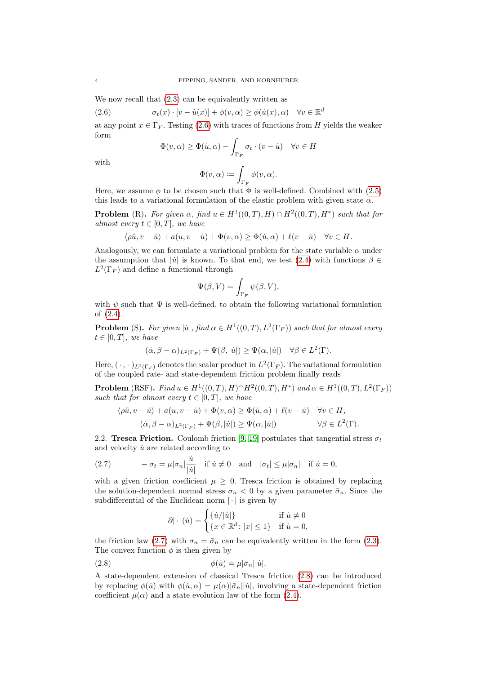We now recall that  $(2.3)$  can be equivalently written as

(2.6) 
$$
\sigma_t(x) \cdot [v - \dot{u}(x)] + \phi(v, \alpha) \ge \phi(\dot{u}(x), \alpha) \quad \forall v \in \mathbb{R}^d
$$

at any point  $x \in \Gamma_F$ . Testing [\(2.6\)](#page-3-0) with traces of functions from H yields the weaker form

<span id="page-3-0"></span>
$$
\Phi(v, \alpha) \ge \Phi(\dot{u}, \alpha) - \int_{\Gamma_F} \sigma_t \cdot (v - \dot{u}) \quad \forall v \in H
$$

with

$$
\Phi(v,\alpha) \coloneqq \int_{\Gamma_F} \phi(v,\alpha).
$$

Here, we assume  $\phi$  to be chosen such that  $\Phi$  is well-defined. Combined with [\(2.5\)](#page-2-4) this leads to a variational formulation of the elastic problem with given state  $\alpha$ .

**Problem** (R). For given  $\alpha$ , find  $u \in H^1((0,T),H) \cap H^2((0,T),H^*)$  such that for almost every  $t \in [0, T]$ , we have

$$
\langle \rho \ddot{u}, v - \dot{u} \rangle + a(u, v - \dot{u}) + \Phi(v, \alpha) \ge \Phi(\dot{u}, \alpha) + \ell(v - \dot{u}) \quad \forall v \in H.
$$

Analogously, we can formulate a variational problem for the state variable  $\alpha$  under the assumption that  $|\dot{u}|$  is known. To that end, we test [\(2.4\)](#page-2-5) with functions  $\beta \in$  $L^2(\Gamma_F)$  and define a functional through

$$
\Psi(\beta, V) = \int_{\Gamma_F} \psi(\beta, V),
$$

with  $\psi$  such that  $\Psi$  is well-defined, to obtain the following variational formulation of [\(2.4\)](#page-2-5).

**Problem** (S). For given  $|\dot{u}|$ , find  $\alpha \in H^1((0,T), L^2(\Gamma_F))$  such that for almost every  $t \in [0, T]$ , we have

$$
(\dot{\alpha}, \beta - \alpha)_{L^2(\Gamma_F)} + \Psi(\beta, |\dot{u}|) \ge \Psi(\alpha, |\dot{u}|) \quad \forall \beta \in L^2(\Gamma).
$$

Here,  $(\cdot, \cdot)_{L^2(\Gamma_F)}$  denotes the scalar product in  $L^2(\Gamma_F)$ . The variational formulation of the coupled rate- and state-dependent friction problem finally reads

**Problem** (RSF). *Find*  $u ∈ H<sup>1</sup>((0, T), H) ∩ H<sup>2</sup>((0, T), H<sup>*</sup>)$  and  $α ∈ H<sup>1</sup>((0, T), L<sup>2</sup>(Γ<sub>F</sub>))$ such that for almost every  $t \in [0, T]$ , we have

$$
\langle \rho \ddot{u}, v - \dot{u} \rangle + a(u, v - \dot{u}) + \Phi(v, \alpha) \ge \Phi(\dot{u}, \alpha) + \ell(v - \dot{u}) \quad \forall v \in H,
$$
  

$$
(\dot{\alpha}, \beta - \alpha)_{L^2(\Gamma_F)} + \Psi(\beta, |\dot{u}|) \ge \Psi(\alpha, |\dot{u}|) \qquad \forall \beta \in L^2(\Gamma).
$$

2.2. Tresca Friction. Coulomb friction [\[9,](#page-18-1) [19\]](#page-19-9) postulates that tangential stress  $\sigma_t$ and velocity  $\dot{u}$  are related according to

<span id="page-3-1"></span>(2.7) 
$$
-\sigma_t = \mu |\sigma_n| \frac{\dot{u}}{|\dot{u}|} \quad \text{if } \dot{u} \neq 0 \quad \text{and} \quad |\sigma_t| \leq \mu |\sigma_n| \quad \text{if } \dot{u} = 0,
$$

with a given friction coefficient  $\mu \geq 0$ . Tresca friction is obtained by replacing the solution-dependent normal stress  $\sigma_n < 0$  by a given parameter  $\bar{\sigma}_n$ . Since the subdifferential of the Euclidean norm  $|\cdot|$  is given by

<span id="page-3-2"></span>
$$
\partial |\cdot | (u) = \begin{cases} \{u/|u|\} & \text{if } u \neq 0\\ \{x \in \mathbb{R}^d \colon |x| \le 1\} & \text{if } u = 0, \end{cases}
$$

the friction law [\(2.7\)](#page-3-1) with  $\sigma_n = \bar{\sigma}_n$  can be equivalently written in the form [\(2.3\)](#page-2-3). The convex function  $\phi$  is then given by

(2.8) 
$$
\phi(\dot{u}) = \mu |\bar{\sigma}_n||\dot{u}|.
$$

A state-dependent extension of classical Tresca friction [\(2.8\)](#page-3-2) can be introduced by replacing  $\phi(u)$  with  $\phi(u, \alpha) = \mu(\alpha)|\bar{\sigma}_n||u|$ , involving a state-dependent friction coefficient  $\mu(\alpha)$  and a state evolution law of the form [\(2.4\)](#page-2-5).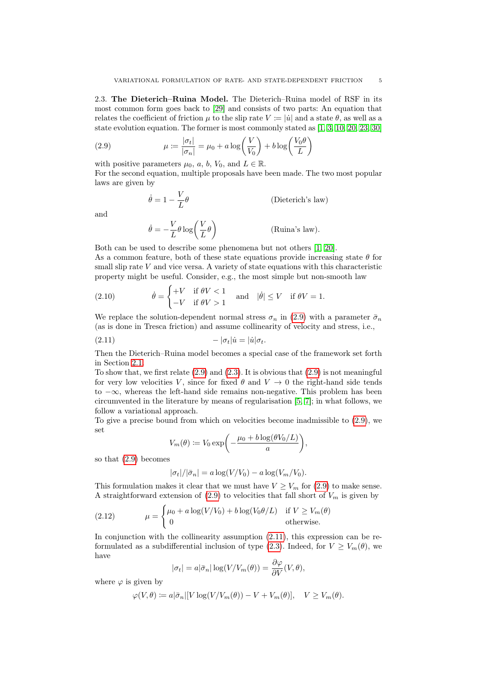2.3. The Dieterich–Ruina Model. The Dieterich–Ruina model of RSF in its most common form goes back to [\[29\]](#page-19-0) and consists of two parts: An equation that relates the coefficient of friction  $\mu$  to the slip rate  $V \coloneqq |\dot{u}|$  and a state  $\theta$ , as well as a state evolution equation. The former is most commonly stated as [\[1,](#page-18-4) [3,](#page-18-5) [10,](#page-19-11) [20,](#page-19-12) [23,](#page-19-13) [30\]](#page-19-14)

(2.9) 
$$
\mu := \frac{|\sigma_t|}{|\sigma_n|} = \mu_0 + a \log\left(\frac{V}{V_0}\right) + b \log\left(\frac{V_0 \theta}{L}\right)
$$

with positive parameters  $\mu_0$ , a, b,  $V_0$ , and  $L \in \mathbb{R}$ .

For the second equation, multiple proposals have been made. The two most popular laws are given by

<span id="page-4-0"></span>
$$
\dot{\theta} = 1 - \frac{V}{L}\theta
$$
 (Dieterich's law)  

$$
\dot{\theta} = -\frac{V}{L}\theta \log\left(\frac{V}{L}\theta\right)
$$
 (Ruina's law).

and

Both can be used to describe some phenomena but not others [\[1,](#page-18-4) [20\]](#page-19-12). As a common feature, both of these state equations provide increasing state  $\theta$  for small slip rate  $V$  and vice versa. A variety of state equations with this characteristic property might be useful. Consider, e.g., the most simple but non-smooth law

<span id="page-4-3"></span>(2.10) 
$$
\dot{\theta} = \begin{cases} +V & \text{if } \theta V < 1 \\ -V & \text{if } \theta V > 1 \end{cases} \text{ and } |\dot{\theta}| \le V \text{ if } \theta V = 1.
$$

We replace the solution-dependent normal stress  $\sigma_n$  in [\(2.9\)](#page-4-0) with a parameter  $\bar{\sigma}_n$ (as is done in Tresca friction) and assume collinearity of velocity and stress, i.e.,

$$
(2.11) \t\t -|\sigma_t| \dot{u} = |\dot{u}| \sigma_t.
$$

Then the Dieterich–Ruina model becomes a special case of the framework set forth in Section [2.1.](#page-1-0)

To show that, we first relate  $(2.9)$  and  $(2.3)$ . It is obvious that  $(2.9)$  is not meaningful for very low velocities V, since for fixed  $\theta$  and  $V \rightarrow 0$  the right-hand side tends to −∞, whereas the left-hand side remains non-negative. This problem has been circumvented in the literature by means of regularisation [\[5,](#page-18-2) [7\]](#page-18-3); in what follows, we follow a variational approach.

To give a precise bound from which on velocities become inadmissible to [\(2.9\)](#page-4-0), we set

<span id="page-4-1"></span>
$$
V_m(\theta) := V_0 \exp\bigg(-\frac{\mu_0 + b \log(\theta V_0/L)}{a}\bigg),\,
$$

so that [\(2.9\)](#page-4-0) becomes

<span id="page-4-2"></span>
$$
|\sigma_t|/|\bar{\sigma}_n| = a \log(V/V_0) - a \log(V_m/V_0).
$$

This formulation makes it clear that we must have  $V \geq V_m$  for [\(2.9\)](#page-4-0) to make sense. A straightforward extension of  $(2.9)$  to velocities that fall short of  $V_m$  is given by

(2.12) 
$$
\mu = \begin{cases} \mu_0 + a \log(V/V_0) + b \log(V_0 \theta/L) & \text{if } V \ge V_m(\theta) \\ 0 & \text{otherwise.} \end{cases}
$$

In conjunction with the collinearity assumption  $(2.11)$ , this expression can be re-formulated as a subdifferential inclusion of type [\(2.3\)](#page-2-3). Indeed, for  $V \ge V_m(\theta)$ , we have

$$
|\sigma_t| = a|\bar{\sigma}_n| \log(V/V_m(\theta)) = \frac{\partial \varphi}{\partial V}(V, \theta),
$$

where  $\varphi$  is given by

$$
\varphi(V,\theta) \coloneqq a|\bar{\sigma}_n|[V\log(V/V_m(\theta))-V+V_m(\theta)], \quad V \ge V_m(\theta).
$$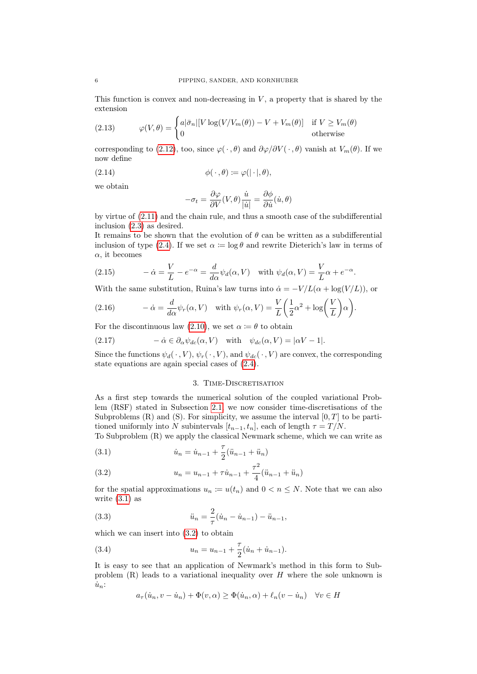This function is convex and non-decreasing in  $V$ , a property that is shared by the extension

<span id="page-5-7"></span>(2.13) 
$$
\varphi(V,\theta) = \begin{cases} a|\bar{\sigma}_n|[V \log(V/V_m(\theta)) - V + V_m(\theta)] & \text{if } V \ge V_m(\theta) \\ 0 & \text{otherwise} \end{cases}
$$

corresponding to [\(2.12\)](#page-4-2), too, since  $\varphi(\cdot, \theta)$  and  $\partial \varphi/\partial V(\cdot, \theta)$  vanish at  $V_m(\theta)$ . If we now define

(2.14) 
$$
\phi(\cdot,\theta) \coloneqq \varphi(|\cdot|,\theta),
$$

we obtain

<span id="page-5-3"></span>
$$
-\sigma_t = \frac{\partial \varphi}{\partial V}(V, \theta) \frac{\dot{u}}{|\dot{u}|} = \frac{\partial \phi}{\partial \dot{u}}(\dot{u}, \theta)
$$

by virtue of [\(2.11\)](#page-4-1) and the chain rule, and thus a smooth case of the subdifferential inclusion [\(2.3\)](#page-2-3) as desired.

It remains to be shown that the evolution of  $\theta$  can be written as a subdifferential inclusion of type [\(2.4\)](#page-2-5). If we set  $\alpha := \log \theta$  and rewrite Dieterich's law in terms of  $\alpha$ , it becomes

<span id="page-5-4"></span>(2.15) 
$$
-\dot{\alpha} = \frac{V}{L} - e^{-\alpha} = \frac{d}{d\alpha} \psi_d(\alpha, V) \text{ with } \psi_d(\alpha, V) = \frac{V}{L} \alpha + e^{-\alpha}.
$$

With the same substitution, Ruina's law turns into  $\dot{\alpha} = -V/L(\alpha + \log(V/L))$ , or

<span id="page-5-5"></span>(2.16) 
$$
-\dot{\alpha} = \frac{d}{d\alpha} \psi_r(\alpha, V) \text{ with } \psi_r(\alpha, V) = \frac{V}{L} \left(\frac{1}{2} \alpha^2 + \log\left(\frac{V}{L}\right) \alpha\right).
$$

For the discontinuous law [\(2.10\)](#page-4-3), we set  $\alpha := \theta$  to obtain

<span id="page-5-6"></span>(2.17) 
$$
-\dot{\alpha} \in \partial_{\alpha} \psi_{dc}(\alpha, V) \text{ with } \psi_{dc}(\alpha, V) = |\alpha V - 1|.
$$

Since the functions  $\psi_d(\cdot, V)$ ,  $\psi_r(\cdot, V)$ , and  $\psi_{dc}(\cdot, V)$  are convex, the corresponding state equations are again special cases of [\(2.4\)](#page-2-5).

#### 3. TIME-DISCRETISATION

<span id="page-5-8"></span>As a first step towards the numerical solution of the coupled variational Problem (RSF) stated in Subsection [2.1,](#page-1-0) we now consider time-discretisations of the Subproblems  $(R)$  and  $(S)$ . For simplicity, we assume the interval  $[0, T]$  to be partitioned uniformly into N subintervals  $[t_{n-1}, t_n]$ , each of length  $\tau = T/N$ .

To Subproblem (R) we apply the classical Newmark scheme, which we can write as

<span id="page-5-0"></span>(3.1) 
$$
\dot{u}_n = \dot{u}_{n-1} + \frac{\tau}{2}(\ddot{u}_{n-1} + \ddot{u}_n)
$$

<span id="page-5-1"></span>(3.2) 
$$
u_n = u_{n-1} + \tau \dot{u}_{n-1} + \frac{\tau^2}{4} (\ddot{u}_{n-1} + \ddot{u}_n)
$$

for the spatial approximations  $u_n := u(t_n)$  and  $0 < n \leq N$ . Note that we can also write [\(3.1\)](#page-5-0) as

(3.3) 
$$
\ddot{u}_n = \frac{2}{\tau} (\dot{u}_n - \dot{u}_{n-1}) - \ddot{u}_{n-1},
$$

which we can insert into [\(3.2\)](#page-5-1) to obtain

(3.4) 
$$
u_n = u_{n-1} + \frac{\tau}{2}(\dot{u}_n + \dot{u}_{n-1}).
$$

It is easy to see that an application of Newmark's method in this form to Subproblem  $(R)$  leads to a variational inequality over H where the sole unknown is  $\dot{u}_n$ :

<span id="page-5-2"></span>
$$
a_{\tau}(\dot{u}_n, v - \dot{u}_n) + \Phi(v, \alpha) \ge \Phi(\dot{u}_n, \alpha) + \ell_n(v - \dot{u}_n) \quad \forall v \in H
$$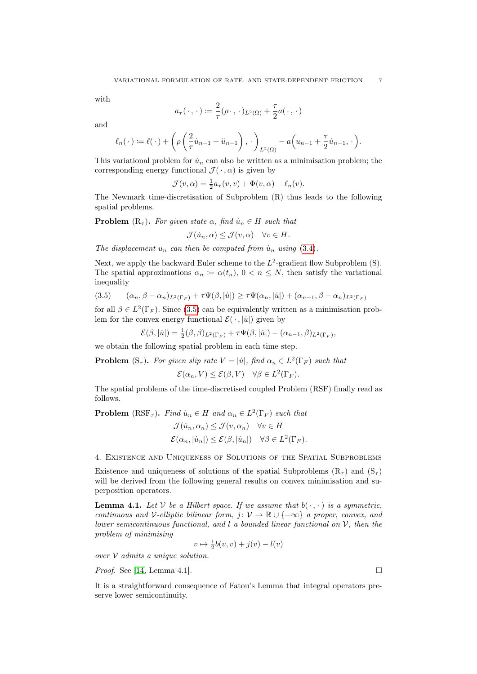with

$$
a_{\tau}(\,\cdot\,,\,\cdot\,):=\frac{2}{\tau}(\rho\cdot,\,\cdot\,)_{L^2(\Omega)}+\frac{\tau}{2}a(\,\cdot\,,\,\cdot\,)
$$

and

$$
\ell_n(\cdot) := \ell(\cdot) + \left(\rho\left(\frac{2}{\tau}\dot{u}_{n-1} + \ddot{u}_{n-1}\right), \cdot\right)_{L^2(\Omega)} - a\left(u_{n-1} + \frac{\tau}{2}\dot{u}_{n-1}, \cdot\right).
$$

This variational problem for  $\dot{u}_n$  can also be written as a minimisation problem; the corresponding energy functional  $\mathcal{J}(\cdot, \alpha)$  is given by

$$
\mathcal{J}(v,\alpha) = \frac{1}{2}a_{\tau}(v,v) + \Phi(v,\alpha) - \ell_n(v).
$$

The Newmark time-discretisation of Subproblem (R) thus leads to the following spatial problems.

**Problem**  $(R_{\tau})$ . For given state  $\alpha$ , find  $\dot{u}_n \in H$  such that

$$
\mathcal{J}(\dot{u}_n,\alpha) \leq \mathcal{J}(v,\alpha) \quad \forall v \in H.
$$

The displacement  $u_n$  can then be computed from  $\dot{u}_n$  using [\(3.4\)](#page-5-2).

Next, we apply the backward Euler scheme to the  $L^2$ -gradient flow Subproblem  $(S)$ . The spatial approximations  $\alpha_n := \alpha(t_n)$ ,  $0 < n \leq N$ , then satisfy the variational inequality

<span id="page-6-0"></span>
$$
(3.5) \qquad (\alpha_n, \beta - \alpha_n)_{L^2(\Gamma_F)} + \tau \Psi(\beta, |\dot{u}|) \ge \tau \Psi(\alpha_n, |\dot{u}|) + (\alpha_{n-1}, \beta - \alpha_n)_{L^2(\Gamma_F)}
$$

for all  $\beta \in L^2(\Gamma_F)$ . Since [\(3.5\)](#page-6-0) can be equivalently written as a minimisation problem for the convex energy functional  $\mathcal{E}(\cdot, |\dot{u}|)$  given by

$$
\mathcal{E}(\beta,|\dot{u}|) = \frac{1}{2}(\beta,\beta)_{L^2(\Gamma_F)} + \tau \Psi(\beta,|\dot{u}|) - (\alpha_{n-1},\beta)_{L^2(\Gamma_F)},
$$

we obtain the following spatial problem in each time step.

**Problem**  $(S_{\tau})$ . For given slip rate  $V = |\dot{u}|$ , find  $\alpha_n \in L^2(\Gamma_F)$  such that

$$
\mathcal{E}(\alpha_n, V) \le \mathcal{E}(\beta, V) \quad \forall \beta \in L^2(\Gamma_F).
$$

The spatial problems of the time-discretised coupled Problem (RSF) finally read as follows.

**Problem** (RSF<sub>τ</sub>). Find  $\dot{u}_n \in H$  and  $\alpha_n \in L^2(\Gamma_F)$  such that

$$
\mathcal{J}(\dot{u}_n, \alpha_n) \leq \mathcal{J}(v, \alpha_n) \quad \forall v \in H
$$
  

$$
\mathcal{E}(\alpha_n, |\dot{u}_n|) \leq \mathcal{E}(\beta, |\dot{u}_n|) \quad \forall \beta \in L^2(\Gamma_F).
$$

<span id="page-6-2"></span>4. Existence and Uniqueness of Solutions of the Spatial Subproblems

Existence and uniqueness of solutions of the spatial Subproblems  $(R_{\tau})$  and  $(S_{\tau})$ will be derived from the following general results on convex minimisation and superposition operators.

<span id="page-6-1"></span>**Lemma 4.1.** Let V be a Hilbert space. If we assume that  $b(\cdot, \cdot)$  is a symmetric, continuous and V-elliptic bilinear form,  $j: V \to \mathbb{R} \cup \{+\infty\}$  a proper, convex, and lower semicontinuous functional, and  $l$  a bounded linear functional on  $V$ , then the problem of minimising

$$
v \mapsto \frac{1}{2}b(v, v) + j(v) - l(v)
$$

over  $V$  admits a unique solution.

*Proof.* See [\[14,](#page-19-15) Lemma 4.1].

It is a straightforward consequence of Fatou's Lemma that integral operators preserve lower semicontinuity.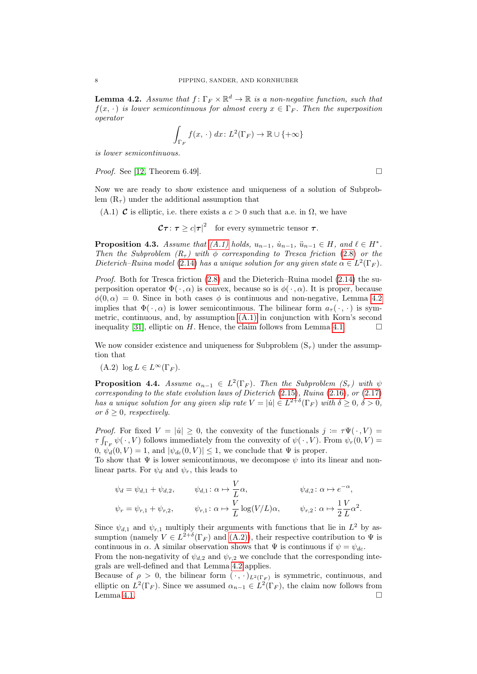<span id="page-7-1"></span>**Lemma 4.2.** Assume that  $f: \Gamma_F \times \mathbb{R}^d \to \mathbb{R}$  is a non-negative function, such that  $f(x, \cdot)$  is lower semicontinuous for almost every  $x \in \Gamma_F$ . Then the superposition operator

$$
\int_{\Gamma_F} f(x, \cdot) dx: L^2(\Gamma_F) \to \mathbb{R} \cup \{+\infty\}
$$

is lower semicontinuous.

*Proof.* See [\[12,](#page-19-16) Theorem 6.49].

Now we are ready to show existence and uniqueness of a solution of Subproblem  $(R<sub>\tau</sub>)$  under the additional assumption that

<span id="page-7-0"></span>(A.1) **C** is elliptic, i.e. there exists a  $c > 0$  such that a.e. in  $\Omega$ , we have

 $\mathcal{C}\tau\colon\tau\geq c|\tau|^2\quad\text{for every symmetric tensor }\tau.$ 

**Proposition 4.3.** Assume that  $(A.1)$  holds,  $u_{n-1}$ ,  $\dot{u}_{n-1}$ ,  $\ddot{u}_{n-1} \in H$ , and  $\ell \in H^*$ . Then the Subproblem  $(R<sub>τ</sub>)$  with  $\phi$  corresponding to Tresca friction [\(2.8\)](#page-3-2) or the Dieterich–Ruina model [\(2.14\)](#page-5-3) has a unique solution for any given state  $\alpha \in L^2(\Gamma_F)$ .

Proof. Both for Tresca friction [\(2.8\)](#page-3-2) and the Dieterich–Ruina model [\(2.14\)](#page-5-3) the superposition operator  $\Phi(\cdot, \alpha)$  is convex, because so is  $\phi(\cdot, \alpha)$ . It is proper, because  $\phi(0,\alpha) = 0$ . Since in both cases  $\phi$  is continuous and non-negative, Lemma [4.2](#page-7-1) implies that  $\Phi(\cdot, \alpha)$  is lower semicontinuous. The bilinear form  $a_{\tau}(\cdot, \cdot)$  is symmetric, continuous, and, by assumption [\(A.1\)](#page-7-0) in conjunction with Korn's second inequality [\[31\]](#page-19-17), elliptic on H. Hence, the claim follows from Lemma [4.1.](#page-6-1)  $\Box$ 

We now consider existence and uniqueness for Subproblem  $(S_{\tau})$  under the assumption that

<span id="page-7-2"></span> $(A.2) \log L \in L^{\infty}(\Gamma_F).$ 

<span id="page-7-3"></span>**Proposition 4.4.** Assume  $\alpha_{n-1} \in L^2(\Gamma_F)$ . Then the Subproblem  $(S_{\tau})$  with  $\psi$ corresponding to the state evolution laws of Dieterich [\(2.15\)](#page-5-4), Ruina [\(2.16\)](#page-5-5), or [\(2.17\)](#page-5-6) has a unique solution for any given slip rate  $V = |\dot{u}| \in L^{2+\delta}(\Gamma_F)$  with  $\delta \geq 0, \delta > 0$ , or  $\delta \geq 0$ , respectively.

*Proof.* For fixed  $V = |u| \geq 0$ , the convexity of the functionals  $j := \tau \Psi(\cdot, V) =$  $\tau \int_{\Gamma_F} \psi(\,\cdot\,,V)$  follows immediately from the convexity of  $\psi(\,\cdot\,,V)$ . From  $\psi_r(0,V)$  =  $[0, \psi_d(0, V) = 1$ , and  $|\psi_{dc}(0, V)| \leq 1$ , we conclude that  $\Psi$  is proper.

To show that  $\Psi$  is lower semicontinuous, we decompose  $\psi$  into its linear and nonlinear parts. For  $\psi_d$  and  $\psi_r$ , this leads to

$$
\psi_d = \psi_{d,1} + \psi_{d,2}, \qquad \psi_{d,1} : \alpha \mapsto \frac{V}{L} \alpha, \qquad \psi_{d,2} : \alpha \mapsto e^{-\alpha},
$$
  

$$
\psi_r = \psi_{r,1} + \psi_{r,2}, \qquad \psi_{r,1} : \alpha \mapsto \frac{V}{L} \log(V/L) \alpha, \qquad \psi_{r,2} : \alpha \mapsto \frac{1}{2} \frac{V}{L} \alpha^2.
$$

Since  $\psi_{d,1}$  and  $\psi_{r,1}$  multiply their arguments with functions that lie in  $L^2$  by assumption (namely  $V \in L^{2+\delta}(\Gamma_F)$  and [\(A.2\)\)](#page-7-2), their respective contribution to  $\Psi$  is continuous in  $\alpha$ . A similar observation shows that  $\Psi$  is continuous if  $\psi = \psi_{dc}$ .

From the non-negativity of  $\psi_{d,2}$  and  $\psi_{r,2}$  we conclude that the corresponding integrals are well-defined and that Lemma [4.2](#page-7-1) applies.

Because of  $\rho > 0$ , the bilinear form  $(\cdot, \cdot)_{L^2(\Gamma_F)}$  is symmetric, continuous, and elliptic on  $L^2(\Gamma_F)$ . Since we assumed  $\alpha_{n-1} \in L^2(\Gamma_F)$ , the claim now follows from Lemma [4.1.](#page-6-1)  $\Box$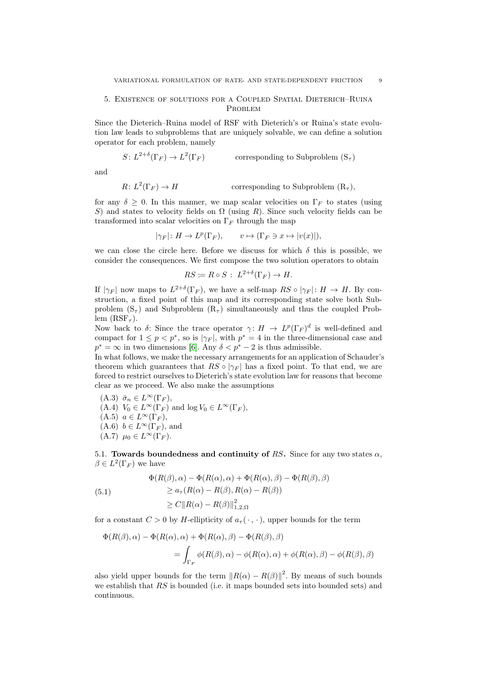# 5. Existence of solutions for a Coupled Spatial Dieterich–Ruina PROBLEM

Since the Dieterich–Ruina model of RSF with Dieterich's or Ruina's state evolution law leads to subproblems that are uniquely solvable, we can define a solution operator for each problem, namely

$$
S\colon L^{2+\delta}(\Gamma_{F})\to L^2(\Gamma_{F})\qquad\qquad\text{corresponding to Subproblem }(S_\tau)
$$

and

$$
R: L^{2}(\Gamma_{F}) \to H \qquad \qquad \text{corresponding to Subproblem } (\mathcal{R}_{\tau}),
$$

for any  $\delta \geq 0$ . In this manner, we map scalar velocities on  $\Gamma_F$  to states (using S) and states to velocity fields on  $\Omega$  (using R). Since such velocity fields can be transformed into scalar velocities on  $\Gamma_F$  through the map

 $|\gamma_F| \colon H \to L^p(\Gamma_F), \qquad v \mapsto (\Gamma_F \ni x \mapsto |v(x)|),$ 

we can close the circle here. Before we discuss for which  $\delta$  this is possible, we consider the consequences. We first compose the two solution operators to obtain

$$
RS \coloneqq R \circ S : L^{2+\delta}(\Gamma_F) \to H.
$$

If  $|\gamma_F|$  now maps to  $L^{2+\delta}(\Gamma_F)$ , we have a self-map  $RS \circ |\gamma_F|: H \to H$ . By construction, a fixed point of this map and its corresponding state solve both Subproblem  $(S_{\tau})$  and Subproblem  $(R_{\tau})$  simultaneously and thus the coupled Problem  $(RSF_\tau)$ .

Now back to  $\delta$ : Since the trace operator  $\gamma: H \to L^p(\Gamma_F)^d$  is well-defined and compact for  $1 \leq p < p^*$ , so is  $|\gamma_F|$ , with  $p^* = 4$  in the three-dimensional case and  $p^* = \infty$  in two dimensions [\[6\]](#page-18-6). Any  $\delta < p^* - 2$  is thus admissible.

In what follows, we make the necessary arrangements for an application of Schauder's theorem which guarantees that  $RS \circ |\gamma_F|$  has a fixed point. To that end, we are forced to restrict ourselves to Dieterich's state evolution law for reasons that become clear as we proceed. We also make the assumptions

(A.3)  $\bar{\sigma}_n \in L^{\infty}(\Gamma_F),$  $(A.4)$   $V_0 \in L^{\infty}(\Gamma_F)$  and  $\log V_0 \in L^{\infty}(\Gamma_F)$ ,  $(A.5)$   $a \in L^{\infty}(\Gamma_F),$  $(A.6)$   $b \in L^{\infty}(\Gamma_F)$ , and  $(A.7)$   $\mu_0 \in L^{\infty}(\Gamma_F)$ .

<span id="page-8-0"></span>5.1. Towards boundedness and continuity of RS. Since for any two states  $\alpha$ ,  $\beta \in L^2(\Gamma_F)$  we have

<span id="page-8-1"></span>(5.1)  
\n
$$
\Phi(R(\beta), \alpha) - \Phi(R(\alpha), \alpha) + \Phi(R(\alpha), \beta) - \Phi(R(\beta), \beta)
$$
\n
$$
\ge a_{\tau}(R(\alpha) - R(\beta), R(\alpha) - R(\beta))
$$
\n
$$
\ge C \|R(\alpha) - R(\beta)\|_{1,2,\Omega}^2
$$

for a constant  $C > 0$  by H-ellipticity of  $a_{\tau}(\cdot, \cdot)$ , upper bounds for the term

$$
\Phi(R(\beta), \alpha) - \Phi(R(\alpha), \alpha) + \Phi(R(\alpha), \beta) - \Phi(R(\beta), \beta)
$$
  
= 
$$
\int_{\Gamma_F} \phi(R(\beta), \alpha) - \phi(R(\alpha), \alpha) + \phi(R(\alpha), \beta) - \phi(R(\beta), \beta)
$$

also yield upper bounds for the term  $||R(\alpha) - R(\beta)||^2$ . By means of such bounds we establish that  $RS$  is bounded (i.e. it maps bounded sets into bounded sets) and continuous.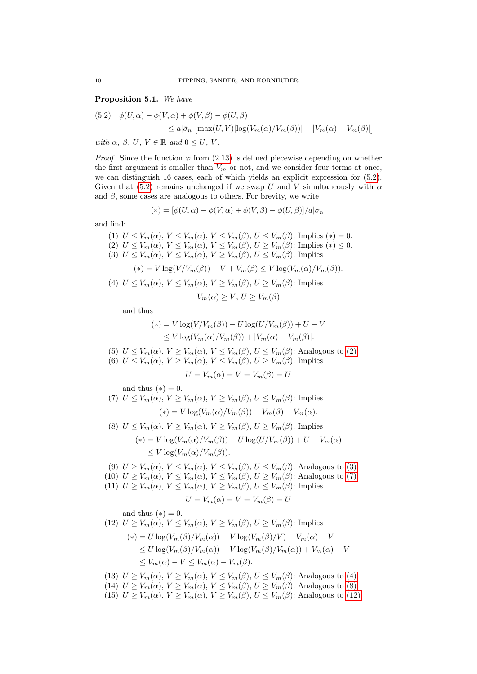<span id="page-9-7"></span>Proposition 5.1. We have

<span id="page-9-0"></span>(5.2) 
$$
\phi(U, \alpha) - \phi(V, \alpha) + \phi(V, \beta) - \phi(U, \beta)
$$

$$
\leq a|\bar{\sigma}_n| \left[ \max(U, V) |\log(V_m(\alpha)/V_m(\beta))| + |V_m(\alpha) - V_m(\beta)| \right]
$$

with  $\alpha$ ,  $\beta$ ,  $U$ ,  $V \in \mathbb{R}$  and  $0 \leq U$ ,  $V$ .

*Proof.* Since the function  $\varphi$  from [\(2.13\)](#page-5-7) is defined piecewise depending on whether the first argument is smaller than  $V_m$  or not, and we consider four terms at once, we can distinguish 16 cases, each of which yields an explicit expression for [\(5.2\)](#page-9-0). Given that [\(5.2\)](#page-9-0) remains unchanged if we swap U and V simultaneously with  $\alpha$ and  $\beta$ , some cases are analogous to others. For brevity, we write

$$
(*) = [\phi(U, \alpha) - \phi(V, \alpha) + \phi(V, \beta) - \phi(U, \beta)]/a|\bar{\sigma}_n|
$$

and find:

<span id="page-9-2"></span><span id="page-9-1"></span>(1)  $U \leq V_m(\alpha)$ ,  $V \leq V_m(\alpha)$ ,  $V \leq V_m(\beta)$ ,  $U \leq V_m(\beta)$ : Implies  $(*) = 0$ . (2)  $U \leq V_m(\alpha)$ ,  $V \leq V_m(\alpha)$ ,  $V \leq V_m(\beta)$ ,  $U \geq V_m(\beta)$ : Implies  $(*) \leq 0$ . (3)  $U \leq V_m(\alpha)$ ,  $V \leq V_m(\alpha)$ ,  $V \geq V_m(\beta)$ ,  $U \leq V_m(\beta)$ : Implies  $(*) = V \log(V/V_m(\beta)) - V + V_m(\beta) \leq V \log(V_m(\alpha)/V_m(\beta)).$ (4)  $U \leq V_m(\alpha)$ ,  $V \leq V_m(\alpha)$ ,  $V \geq V_m(\beta)$ ,  $U \geq V_m(\beta)$ : Implies

$$
V_m(\alpha) \ge V, \, U \ge V_m(\beta)
$$

<span id="page-9-4"></span>and thus

$$
(*) = V \log(V/V_m(\beta)) - U \log(U/V_m(\beta)) + U - V
$$
  
\n
$$
\leq V \log(V_m(\alpha)/V_m(\beta)) + |V_m(\alpha) - V_m(\beta)|.
$$

(5)  $U \leq V_m(\alpha)$ ,  $V \geq V_m(\alpha)$ ,  $V \leq V_m(\beta)$ ,  $U \leq V_m(\beta)$ : Analogous to [\(2\).](#page-9-1)

(6)  $U \leq V_m(\alpha)$ ,  $V \geq V_m(\alpha)$ ,  $V \leq V_m(\beta)$ ,  $U \geq V_m(\beta)$ : Implies

$$
U = V_m(\alpha) = V = V_m(\beta) = U
$$

and thus  $(*) = 0$ .

<span id="page-9-3"></span>and thus (\*) = 0.  
\n(7) 
$$
U \leq V_m(\alpha)
$$
,  $V \geq V_m(\alpha)$ ,  $V \geq V_m(\beta)$ ,  $U \leq V_m(\beta)$ : Implies  
\n(\*) =  $V \log(V_m(\alpha)/V_m(\beta)) + V_m(\beta) - V_m(\alpha)$ .  
\n(8)  $U \leq V_m(\alpha)$ ,  $V \geq V_m(\alpha)$ ,  $V \geq V_m(\beta)$ ,  $U \geq V_m(\beta)$ : Implies

<span id="page-9-5"></span>
$$
\begin{aligned} \n\text{(a)} \quad & \text{if } \sum v_m(\alpha), \, \text{if } \sum v_m(\alpha), \, \text{if } \sum v_m(\beta), \, \text{if } \sum v_m(\beta). \text{ implies} \\ \n& \text{if } \sum v_m(\alpha) & \text{if } \sum v_m(\beta) \text{if } \sum v_m(\beta) \text{if } \sum v_m(\alpha) \text{if } \sum v_m(\alpha) \text{if } \sum v_m(\alpha) \text{if } \sum v_m(\alpha) \text{if } \sum v_m(\alpha) \text{if } \sum v_m(\alpha) \text{if } \sum v_m(\alpha) \text{if } \sum v_m(\alpha) \text{if } \sum v_m(\alpha) \text{if } \sum v_m(\alpha) \text{if } \sum v_m(\alpha) \text{if } \sum v_m(\alpha) \text{if } \sum v_m(\alpha) \text{if } \sum v_m(\alpha) \text{if } \sum v_m(\alpha) \text{if } \sum v_m(\alpha) \text{if } \sum v_m(\alpha) \text{if } \sum v_m(\alpha) \text{if } \sum v_m(\alpha) \text{if } \sum v_m(\alpha) \text{if } \sum v_m(\alpha) \text{if } \sum v_m(\alpha) \text{if } \sum v_m(\alpha) \text{if } \sum v_m(\alpha) \text{if } \sum v_m(\alpha) \text{if } \sum v_m(\alpha) \text{if } \sum v_m(\alpha) \text{if } \sum v_m(\alpha) \text{if } \sum v_m(\alpha) \text{if } \sum v_m(\alpha) \text{if } \sum v_m(\alpha) \text{if } \sum v_m(\alpha) \text{if } \sum v_m(\alpha) \text{if } \sum v_m(\alpha) \text{if } \sum v_m(\alpha) \text{if } \sum v_m(\alpha) \text{if } \sum v_m(\alpha) \text{if } \sum v_m(\alpha) \text{if } \sum v_m(\alpha) \text{if } \sum v_m(\alpha) \text{if } \sum v_m(\alpha) \text{if } \sum v_m(\alpha) \text{if } \sum v_m(\alpha) \text{if } \sum v_m(\alpha) \text{if } \sum v_m(\alpha) \text{if } \sum v_m(\alpha) \text{if } \sum v_m(\alpha) \text{if } \sum v_m(\alpha) \text{if } \sum v_m(\alpha) \text{if } \sum v_m(\alpha) \text{if } \sum v_m(\alpha) \text{if } \sum v_m(\alpha) \text{if } \sum v_m(\alpha) \text{if
$$

- (9)  $U \geq V_m(\alpha)$ ,  $V \leq V_m(\alpha)$ ,  $V \leq V_m(\beta)$ ,  $U \leq V_m(\beta)$ : Analogous to [\(3\).](#page-9-2) (10)  $U \geq V_m(\alpha)$ ,  $V \leq V_m(\alpha)$ ,  $V \leq V_m(\beta)$ ,  $U \geq V_m(\beta)$ : Analogous to [\(7\).](#page-9-3)
- (11)  $U \geq V_m(\alpha)$ ,  $V \leq V_m(\alpha)$ ,  $V \geq V_m(\beta)$ ,  $U \leq V_m(\beta)$ : Implies

$$
U = V_m(\alpha) = V = V_m(\beta) = U
$$

and thus  $(*) = 0$ .

<span id="page-9-6"></span>(12) 
$$
U \ge V_m(\alpha)
$$
,  $V \le V_m(\alpha)$ ,  $V \ge V_m(\beta)$ ,  $U \ge V_m(\beta)$ : Implies  
\n
$$
(*) = U \log(V_m(\beta)/V_m(\alpha)) - V \log(V_m(\beta)/V) + V_m(\alpha) - V
$$
\n
$$
\le U \log(V_m(\beta)/V_m(\alpha)) - V \log(V_m(\beta)/V_m(\alpha)) + V_m(\alpha) - V
$$
\n
$$
\le V_m(\alpha) - V \le V_m(\alpha) - V_m(\beta).
$$

- (13)  $U \geq V_m(\alpha)$ ,  $V \geq V_m(\alpha)$ ,  $V \leq V_m(\beta)$ ,  $U \leq V_m(\beta)$ : Analogous to [\(4\).](#page-9-4)
- (14)  $U \geq V_m(\alpha)$ ,  $V \geq V_m(\alpha)$ ,  $V \leq V_m(\beta)$ ,  $U \geq V_m(\beta)$ : Analogous to [\(8\).](#page-9-5)
- (15)  $U \geq V_m(\alpha)$ ,  $V \geq V_m(\alpha)$ ,  $V \geq V_m(\beta)$ ,  $U \leq V_m(\beta)$ : Analogous to [\(12\).](#page-9-6)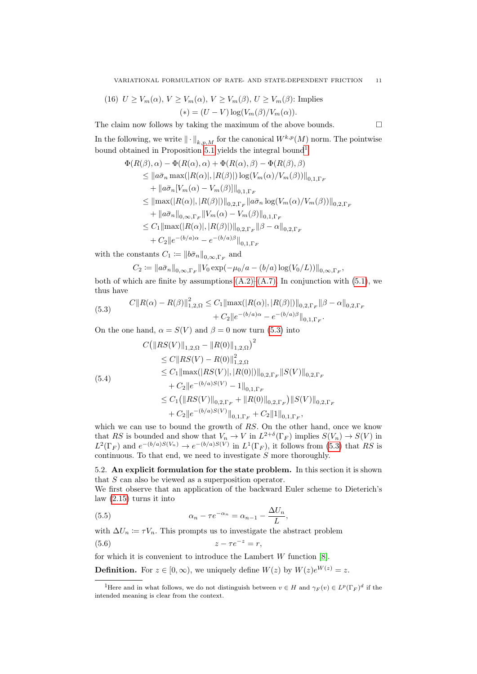(16) 
$$
U \ge V_m(\alpha)
$$
,  $V \ge V_m(\alpha)$ ,  $V \ge V_m(\beta)$ ,  $U \ge V_m(\beta)$ : Implies  
\n
$$
(*) = (U - V) \log(V_m(\beta)/V_m(\alpha)).
$$

The claim now follows by taking the maximum of the above bounds.  $\Box$ 

In the following, we write  $\|\cdot\|_{k,p,M}$  for the canonical  $W^{k,p}(M)$  norm. The pointwise bound obtained in Proposition [5.1](#page-9-7) yields the integral bound[1](#page-10-0)

$$
\Phi(R(\beta), \alpha) - \Phi(R(\alpha), \alpha) + \Phi(R(\alpha), \beta) - \Phi(R(\beta), \beta)
$$
\n
$$
\leq ||a\bar{\sigma}_n \max(|R(\alpha)|, |R(\beta)|) \log(V_m(\alpha)/V_m(\beta))||_{0,1,\Gamma_F}
$$
\n
$$
+ ||a\bar{\sigma}_n[V_m(\alpha) - V_m(\beta)]||_{0,1,\Gamma_F}
$$
\n
$$
\leq ||\max(|R(\alpha)|, |R(\beta)|)||_{0,2,\Gamma_F} ||a\bar{\sigma}_n \log(V_m(\alpha)/V_m(\beta))||_{0,2,\Gamma_F}
$$
\n
$$
+ ||a\bar{\sigma}_n||_{0,\infty,\Gamma_F} ||V_m(\alpha) - V_m(\beta)||_{0,1,\Gamma_F}
$$
\n
$$
\leq C_1 ||\max(|R(\alpha)|, |R(\beta)|) ||_{0,2,\Gamma_F} ||\beta - \alpha||_{0,2,\Gamma_F}
$$
\n
$$
+ C_2 ||e^{-(b/a)\alpha} - e^{-(b/a)\beta} ||_{0,1,\Gamma_F}
$$

with the constants  $C_1 \coloneqq \|b\bar{\sigma}_n\|_{0,\infty,\Gamma_F}$  and

$$
C_2 := ||a\bar{\sigma}_n||_{0,\infty,\Gamma_F} ||V_0 \exp(-\mu_0/a - (b/a) \log(V_0/L))||_{0,\infty,\Gamma_F},
$$

both of which are finite by assumptions  $(A.2)$ – $(A.7)$ . In conjunction with  $(5.1)$ , we thus have

<span id="page-10-1"></span>(5.3) 
$$
C||R(\alpha) - R(\beta)||_{1,2,\Omega}^2 \leq C_1 ||\max(|R(\alpha)|, |R(\beta)|)||_{0,2,\Gamma_F} ||\beta - \alpha||_{0,2,\Gamma_F} + C_2 ||e^{-(b/a)\alpha} - e^{-(b/a)\beta}||_{0,1,\Gamma_F}.
$$

On the one hand,  $\alpha = S(V)$  and  $\beta = 0$  now turn [\(5.3\)](#page-10-1) into

<span id="page-10-4"></span>
$$
C(||RS(V)||_{1,2,\Omega} - ||R(0)||_{1,2,\Omega})^{2}
$$
  
\n
$$
\leq C||RS(V) - R(0)||_{1,2,\Omega}^{2}
$$
  
\n
$$
\leq C_{1}||\max(|RS(V)|, |R(0)|)||_{0,2,\Gamma_{F}}||S(V)||_{0,2,\Gamma_{F}}
$$
  
\n
$$
+ C_{2}||e^{-(b/a)S(V)} - 1||_{0,1,\Gamma_{F}}
$$
  
\n
$$
\leq C_{1}(||RS(V)||_{0,2,\Gamma_{F}} + ||R(0)||_{0,2,\Gamma_{F}})||S(V)||_{0,2,\Gamma_{F}}
$$
  
\n
$$
+ C_{2}||e^{-(b/a)S(V)}||_{0,1,\Gamma_{F}} + C_{2}||1||_{0,1,\Gamma_{F}},
$$

which we can use to bound the growth of RS. On the other hand, once we know that RS is bounded and show that  $V_n \to V$  in  $L^{2+\delta}(\Gamma_F)$  implies  $S(V_n) \to S(V)$  in  $L^2(\Gamma_F)$  and  $e^{-(b/a)S(V_n)} \to e^{-(b/a)S(V)}$  in  $L^1(\Gamma_F)$ , it follows from [\(5.3\)](#page-10-1) that RS is continuous. To that end, we need to investigate  $S$  more thoroughly.

5.2. An explicit formulation for the state problem. In this section it is shown that S can also be viewed as a superposition operator.

We first observe that an application of the backward Euler scheme to Dieterich's law [\(2.15\)](#page-5-4) turns it into

<span id="page-10-3"></span>(5.5) 
$$
\alpha_n - \tau e^{-\alpha_n} = \alpha_{n-1} - \frac{\Delta U_n}{L},
$$

with  $\Delta U_n \coloneqq \tau V_n$ . This prompts us to investigate the abstract problem

<span id="page-10-2"></span>
$$
(5.6) \t\t\t z - \tau e^{-z} = r,
$$

for which it is convenient to introduce the Lambert  $W$  function [\[8\]](#page-18-7).

**Definition.** For  $z \in [0, \infty)$ , we uniquely define  $W(z)$  by  $W(z)e^{W(z)} = z$ .

<span id="page-10-0"></span><sup>&</sup>lt;sup>1</sup>Here and in what follows, we do not distinguish between  $v \in H$  and  $\gamma_F(v) \in L^p(\Gamma_F)^d$  if the intended meaning is clear from the context.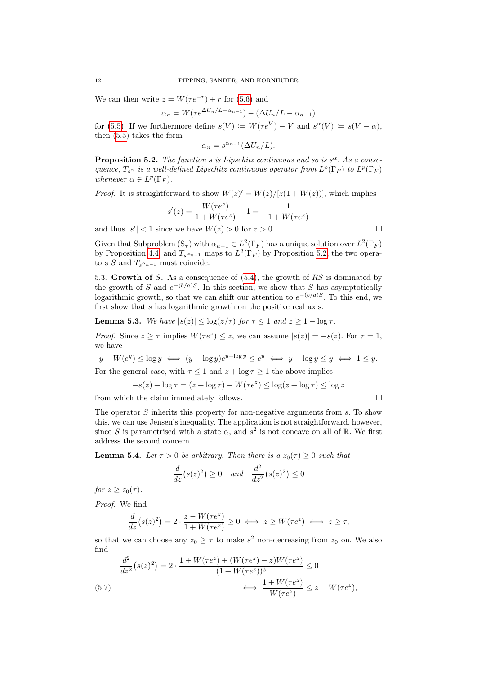We can then write  $z = W(\tau e^{-r}) + r$  for [\(5.6\)](#page-10-2) and

$$
\alpha_n = W(\tau e^{\Delta U_n/L - \alpha_{n-1}}) - (\Delta U_n/L - \alpha_{n-1})
$$

for [\(5.5\)](#page-10-3). If we furthermore define  $s(V) := W(\tau e^V) - V$  and  $s^{\alpha}(V) := s(V - \alpha)$ , then [\(5.5\)](#page-10-3) takes the form

$$
\alpha_n = s^{\alpha_{n-1}} (\Delta U_n / L).
$$

<span id="page-11-0"></span>**Proposition 5.2.** The function s is Lipschitz continuous and so is  $s^{\alpha}$ . As a consequence,  $T_{s^{\alpha}}$  is a well-defined Lipschitz continuous operator from  $L^p(\Gamma_F)$  to  $L^p(\Gamma_F)$ whenever  $\alpha \in L^p(\Gamma_F)$ .

*Proof.* It is straightforward to show  $W(z)' = W(z)/[z(1+W(z))]$ , which implies

$$
s'(z) = \frac{W(\tau e^z)}{1 + W(\tau e^z)} - 1 = -\frac{1}{1 + W(\tau e^z)}
$$
  
ence we have  $W(z) > 0$  for  $z > 0$ 

and thus  $|s'| < 1$  since we have  $W(z) > 0$  for  $z > 0$ .

Given that Subproblem  $(S_{\tau})$  with  $\alpha_{n-1} \in L^2(\Gamma_F)$  has a unique solution over  $L^2(\Gamma_F)$ by Proposition [4.4,](#page-7-3) and  $T_{s^{\alpha_{n-1}}}$  maps to  $L^2(\Gamma_F)$  by Proposition [5.2,](#page-11-0) the two operators S and  $T_{s^{\alpha_{n-1}}}$  must coincide.

5.3. Growth of S. As a consequence of [\(5.4\)](#page-10-4), the growth of RS is dominated by the growth of S and  $e^{-(b/a)S}$ . In this section, we show that S has asymptotically logarithmic growth, so that we can shift our attention to  $e^{-(b/a)S}$ . To this end, we first show that s has logarithmic growth on the positive real axis.

<span id="page-11-2"></span>**Lemma 5.3.** We have  $|s(z)| < log(z/\tau)$  for  $\tau < 1$  and  $z > 1 - log \tau$ .

*Proof.* Since  $z \ge \tau$  implies  $W(\tau e^z) \le z$ , we can assume  $|s(z)| = -s(z)$ . For  $\tau = 1$ , we have

$$
y - W(e^y) \le \log y \iff (y - \log y)e^{y - \log y} \le e^y \iff y - \log y \le y \iff 1 \le y.
$$

For the general case, with  $\tau \leq 1$  and  $z + \log \tau \geq 1$  the above implies

$$
-s(z) + \log \tau = (z + \log \tau) - W(\tau e^z) \le \log(z + \log \tau) \le \log z
$$

from which the claim immediately follows.  $\Box$ 

The operator S inherits this property for non-negative arguments from s. To show this, we can use Jensen's inequality. The application is not straightforward, however, since S is parametrised with a state  $\alpha$ , and  $s^2$  is not concave on all of R. We first address the second concern.

<span id="page-11-3"></span>**Lemma 5.4.** Let  $\tau > 0$  be arbitrary. Then there is a  $z_0(\tau) \geq 0$  such that

$$
\frac{d}{dz}(s(z)^2) \ge 0 \quad and \quad \frac{d^2}{dz^2}(s(z)^2) \le 0
$$

for  $z \geq z_0(\tau)$ .

Proof. We find

$$
\frac{d}{dz}(s(z)^2) = 2 \cdot \frac{z - W(\tau e^z)}{1 + W(\tau e^z)} \ge 0 \iff z \ge W(\tau e^z) \iff z \ge \tau,
$$

so that we can choose any  $z_0 \geq \tau$  to make  $s^2$  non-decreasing from  $z_0$  on. We also find

<span id="page-11-1"></span>
$$
\frac{d^2}{dz^2}(s(z)^2) = 2 \cdot \frac{1 + W(\tau e^z) + (W(\tau e^z) - z)W(\tau e^z)}{(1 + W(\tau e^z))^3} \le 0
$$
\n
$$
(5.7) \qquad \Longleftrightarrow \frac{1 + W(\tau e^z)}{W(\tau e^z)} \le z - W(\tau e^z),
$$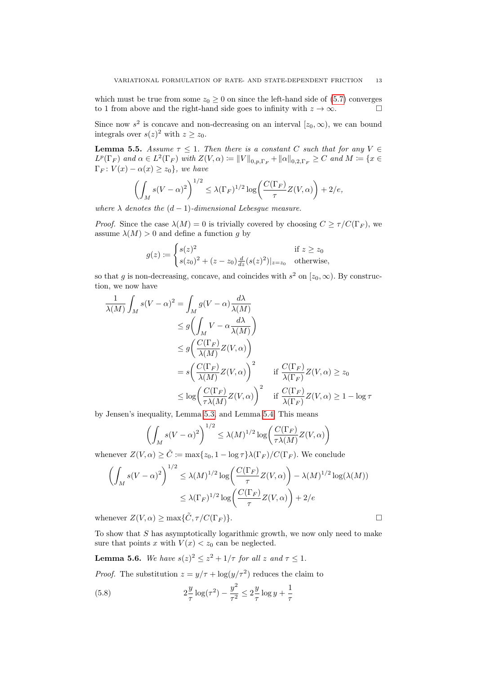which must be true from some  $z_0 \ge 0$  on since the left-hand side of [\(5.7\)](#page-11-1) converges to 1 from above and the right-hand side goes to infinity with  $z \to \infty$ to 1 from above and the right-hand side goes to infinity with  $z \to \infty$ .

Since now  $s^2$  is concave and non-decreasing on an interval  $[z_0, \infty)$ , we can bound integrals over  $s(z)^2$  with  $z \ge z_0$ .

<span id="page-12-2"></span>**Lemma 5.5.** Assume  $\tau \leq 1$ . Then there is a constant C such that for any V  $\in$  $L^p(\Gamma_F)$  and  $\alpha \in L^2(\Gamma_F)$  with  $Z(V, \alpha) \coloneqq ||V||_{0,p,\Gamma_F} + ||\alpha||_{0,2,\Gamma_F} \geq C$  and  $M \coloneqq \{x \in$  $\Gamma_F: V(x) - \alpha(x) \geq z_0$ , we have

$$
\left(\int_M s(V-\alpha)^2\right)^{1/2} \leq \lambda(\Gamma_F)^{1/2} \log\left(\frac{C(\Gamma_F)}{\tau}Z(V,\alpha)\right) + 2/e,
$$

where  $\lambda$  denotes the  $(d-1)$ -dimensional Lebesque measure.

*Proof.* Since the case  $\lambda(M) = 0$  is trivially covered by choosing  $C \ge \tau/C(\Gamma_F)$ , we assume  $\lambda(M) > 0$  and define a function g by

$$
g(z) := \begin{cases} s(z)^2 & \text{if } z \ge z_0 \\ s(z_0)^2 + (z - z_0) \frac{d}{dz} (s(z)^2)|_{z=z_0} & \text{otherwise,} \end{cases}
$$

so that g is non-decreasing, concave, and coincides with  $s^2$  on  $[z_0, \infty)$ . By construction, we now have

$$
\frac{1}{\lambda(M)} \int_M s(V - \alpha)^2 = \int_M g(V - \alpha) \frac{d\lambda}{\lambda(M)}
$$
\n
$$
\leq g \left( \int_M V - \alpha \frac{d\lambda}{\lambda(M)} \right)
$$
\n
$$
\leq g \left( \frac{C(\Gamma_F)}{\lambda(M)} Z(V, \alpha) \right)
$$
\n
$$
= s \left( \frac{C(\Gamma_F)}{\lambda(M)} Z(V, \alpha) \right)^2 \quad \text{if } \frac{C(\Gamma_F)}{\lambda(\Gamma_F)} Z(V, \alpha) \geq z_0
$$
\n
$$
\leq \log \left( \frac{C(\Gamma_F)}{\tau \lambda(M)} Z(V, \alpha) \right)^2 \quad \text{if } \frac{C(\Gamma_F)}{\lambda(\Gamma_F)} Z(V, \alpha) \geq 1 - \log \tau
$$

by Jensen's inequality, Lemma [5.3,](#page-11-2) and Lemma [5.4.](#page-11-3) This means

$$
\left(\int_M s(V-\alpha)^2\right)^{1/2} \le \lambda(M)^{1/2} \log\left(\frac{C(\Gamma_F)}{\tau \lambda(M)} Z(V,\alpha)\right)
$$

whenever  $Z(V, \alpha) \geq \tilde{C} := \max\{z_0, 1 - \log \tau\} \lambda(\Gamma_F) / C(\Gamma_F)$ . We conclude

$$
\left(\int_M s(V-\alpha)^2\right)^{1/2} \le \lambda(M)^{1/2} \log\left(\frac{C(\Gamma_F)}{\tau}Z(V,\alpha)\right) - \lambda(M)^{1/2} \log(\lambda(M))
$$
  

$$
\le \lambda(\Gamma_F)^{1/2} \log\left(\frac{C(\Gamma_F)}{\tau}Z(V,\alpha)\right) + 2/e
$$

whenever  $Z(V, \alpha) \ge \max{\{\tilde{C}, \tau/C(\Gamma_F)\}}$ .

To show that S has asymptotically logarithmic growth, we now only need to make sure that points x with  $V(x) < z_0$  can be neglected.

<span id="page-12-1"></span>**Lemma 5.6.** We have  $s(z)^2 \leq z^2 + 1/\tau$  for all z and  $\tau \leq 1$ .

*Proof.* The substitution  $z = y/\tau + \log(y/\tau^2)$  reduces the claim to

<span id="page-12-0"></span>(5.8) 
$$
2\frac{y}{\tau}\log(\tau^2) - \frac{y^2}{\tau^2} \le 2\frac{y}{\tau}\log y + \frac{1}{\tau}
$$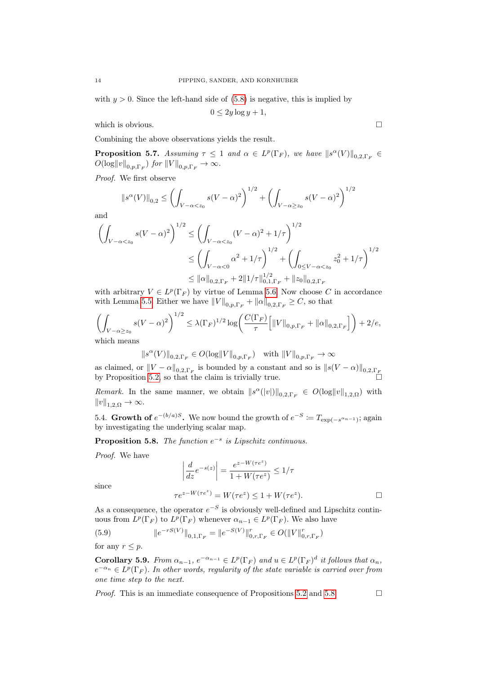with  $y > 0$ . Since the left-hand side of [\(5.8\)](#page-12-0) is negative, this is implied by

$$
0 \le 2y \log y + 1,
$$

which is obvious.  $\Box$ 

Combining the above observations yields the result.

<span id="page-13-2"></span>**Proposition 5.7.** Assuming  $\tau \leq 1$  and  $\alpha \in L^p(\Gamma_F)$ , we have  $||s^{\alpha}(V)||_{0,2,\Gamma_F} \in$  $O(\log \|v\|_{0,p,\Gamma_F})$  for  $\|V\|_{0,p,\Gamma_F} \to \infty$ .

Proof. We first observe

$$
\|s^{\alpha}(V)\|_{0,2} \le \left(\int_{V-\alpha < z_0} s(V-\alpha)^2\right)^{1/2} + \left(\int_{V-\alpha \ge z_0} s(V-\alpha)^2\right)^{1/2}
$$

and

$$
\left(\int_{V-\alpha  

$$
\le \left(\int_{V-\alpha<0} \alpha^2 + 1/\tau\right)^{1/2} + \left(\int_{0\le V-\alpha  

$$
\le ||\alpha||_{0,2,\Gamma_F} + 2||1/\tau||_{0,1,\Gamma_F}^{1/2} + ||z_0||_{0,2,\Gamma_F}
$$
$$
$$

with arbitrary  $V \in L^p(\Gamma_F)$  by virtue of Lemma [5.6.](#page-12-1) Now choose C in accordance with Lemma [5.5.](#page-12-2) Either we have  $||V||_{0,p,\Gamma_F} + ||\alpha||_{0,2,\Gamma_F} \geq C$ , so that

$$
\left(\int_{V-\alpha\geq z_0} s(V-\alpha)^2\right)^{1/2} \leq \lambda(\Gamma_F)^{1/2} \log\left(\frac{C(\Gamma_F)}{\tau} \Big[\|V\|_{0,p,\Gamma_F} + \|\alpha\|_{0,2,\Gamma_F}\Big]\right) + 2/e,
$$
  
which means

which means

$$
\|s^\alpha(V)\|_{0,2,\Gamma_F}\in O(\log\|V\|_{0,p,\Gamma_F})\quad\text{with $ \|V\|_{0,p,\Gamma_F}\to\infty$}
$$

as claimed, or  $||V - \alpha||_{0,2,\Gamma_F}$  is bounded by a constant and so is  $||s(V - \alpha)||_{0,2,\Gamma_F}$ by Proposition [5.2,](#page-11-0) so that the claim is trivially true.

*Remark*. In the same manner, we obtain  $||s^{\alpha}(|v|)||_{0,2,\Gamma_F} \in O(\log ||v||_{1,2,\Omega})$  with  $||v||_{1,2,\Omega} \rightarrow \infty.$ 

5.4. Growth of  $e^{-(b/a)S}$ . We now bound the growth of  $e^{-S} := T_{\exp(-s^{\alpha_{n-1}})}$ ; again by investigating the underlying scalar map.

<span id="page-13-0"></span>**Proposition 5.8.** The function  $e^{-s}$  is Lipschitz continuous.

Proof. We have

$$
\left| \frac{d}{dz} e^{-s(z)} \right| = \frac{e^{z - W(\tau e^z)}}{1 + W(\tau e^z)} \le 1/\tau
$$
  

$$
\tau e^{z - W(\tau e^z)} = W(\tau e^z) \le 1 + W(\tau e^z).
$$

since

As a consequence, the operator  $e^{-S}$  is obviously well-defined and Lipschitz continuous from  $L^p(\Gamma_F)$  to  $L^p(\Gamma_F)$  whenever  $\alpha_{n-1} \in L^p(\Gamma_F)$ . We also have

<span id="page-13-3"></span>(5.9) 
$$
||e^{-rS(V)}||_{0,1,\Gamma_F} = ||e^{-S(V)}||_{0,r,\Gamma_F}^r \in O(||V||_{0,r,\Gamma_F}^r)
$$
  
for any  $r \leq p$ .

<span id="page-13-1"></span>Corollary 5.9. From  $\alpha_{n-1}$ ,  $e^{-\alpha_{n-1}} \in L^p(\Gamma_F)$  and  $u \in L^p(\Gamma_F)^d$  it follows that  $\alpha_n$ ,  $e^{-\alpha_n} \in L^p(\Gamma_F)$ . In other words, regularity of the state variable is carried over from one time step to the next.

*Proof.* This is an immediate consequence of Propositions [5.2](#page-11-0) and [5.8.](#page-13-0)  $\Box$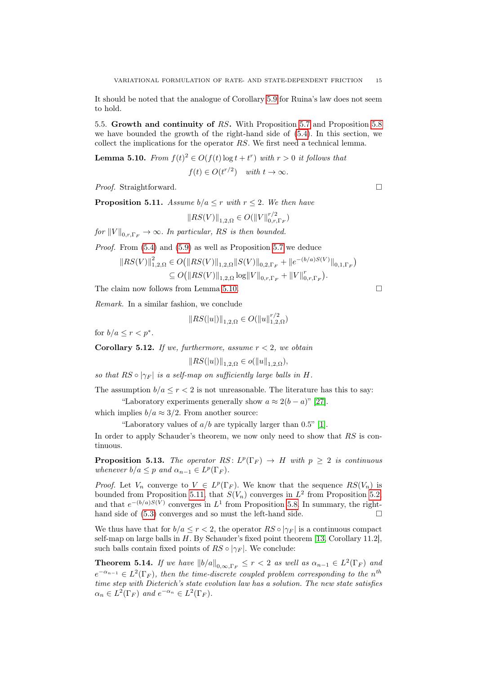It should be noted that the analogue of Corollary [5.9](#page-13-1) for Ruina's law does not seem to hold.

5.5. Growth and continuity of RS. With Proposition [5.7](#page-13-2) and Proposition [5.8](#page-13-0) we have bounded the growth of the right-hand side of [\(5.4\)](#page-10-4). In this section, we collect the implications for the operator RS. We first need a technical lemma.

<span id="page-14-0"></span>**Lemma 5.10.** From  $f(t)^2 \in O(f(t) \log t + t^r)$  with  $r > 0$  it follows that  $f(t) \in O(t^{r/2})$  with  $t \to \infty$ .

*Proof.* Straightforward. □

<span id="page-14-1"></span>**Proposition 5.11.** Assume  $b/a \leq r$  with  $r \leq 2$ . We then have

$$
||RS(V)||_{1,2,\Omega} \in O(||V||_{0,r,\Gamma_F}^{r/2})
$$

for  $||V||_{0,r,\Gamma_F} \to \infty$ . In particular, RS is then bounded.

Proof. From [\(5.4\)](#page-10-4) and [\(5.9\)](#page-13-3) as well as Proposition [5.7](#page-13-2) we deduce

$$
||RS(V)||_{1,2,\Omega}^{2} \in O(||RS(V)||_{1,2,\Omega} ||S(V)||_{0,2,\Gamma_{F}} + ||e^{-(b/a)S(V)}||_{0,1,\Gamma_{F}})
$$
  
\n
$$
\subseteq O(||RS(V)||_{1,2,\Omega} \log ||V||_{0,r,\Gamma_{F}} + ||V||_{0,r,\Gamma_{F}}^{r}).
$$

The claim now follows from Lemma [5.10.](#page-14-0)

Remark. In a similar fashion, we conclude

$$
||RS(|u|)||_{1,2,\Omega} \in O(||u||_{1,2,\Omega}^{r/2})
$$

for  $b/a \leq r < p^*$ .

**Corollary 5.12.** If we, furthermore, assume  $r < 2$ , we obtain

$$
||RS(|u|)||_{1,2,\Omega} \in o(||u||_{1,2,\Omega}),
$$

so that  $RS \circ |\gamma_F|$  is a self-map on sufficiently large balls in H.

The assumption  $b/a \le r < 2$  is not unreasonable. The literature has this to say: "Laboratory experiments generally show  $a \approx 2(b-a)$ " [\[27\]](#page-19-7).

which implies  $b/a \approx 3/2$ . From another source:

"Laboratory values of  $a/b$  are typically larger than 0.5" [\[1\]](#page-18-4).

In order to apply Schauder's theorem, we now only need to show that RS is continuous.

**Proposition 5.13.** The operator  $RS: L^p(\Gamma_F) \to H$  with  $p \geq 2$  is continuous whenever  $b/a \leq p$  and  $\alpha_{n-1} \in L^p(\Gamma_F)$ .

*Proof.* Let  $V_n$  converge to  $V \in L^p(\Gamma_F)$ . We know that the sequence  $RS(V_n)$  is bounded from Proposition [5.11,](#page-14-1) that  $S(V_n)$  converges in  $L^2$  from Proposition [5.2,](#page-11-0) and that  $e^{-(b/a)S(V)}$  converges in  $L^1$  from Proposition [5.8.](#page-13-0) In summary, the righthand side of [\(5.3\)](#page-10-1) converges and so must the left-hand side.

We thus have that for  $b/a \le r < 2$ , the operator  $RS \circ |\gamma_F|$  is a continuous compact self-map on large balls in  $H$ . By Schauder's fixed point theorem [\[13,](#page-19-18) Corollary 11.2], such balls contain fixed points of  $RS \circ |\gamma_F|$ . We conclude:

**Theorem 5.14.** If we have  $||b/a||_{0,\infty,\Gamma_F} \leq r < 2$  as well as  $\alpha_{n-1} \in L^2(\Gamma_F)$  and  $e^{-\alpha_{n-1}} \in L^2(\Gamma_F)$ , then the time-discrete coupled problem corresponding to the n<sup>th</sup> time step with Dieterich's state evolution law has a solution. The new state satisfies  $\alpha_n \in L^2(\Gamma_F)$  and  $e^{-\alpha_n} \in L^2(\Gamma_F)$ .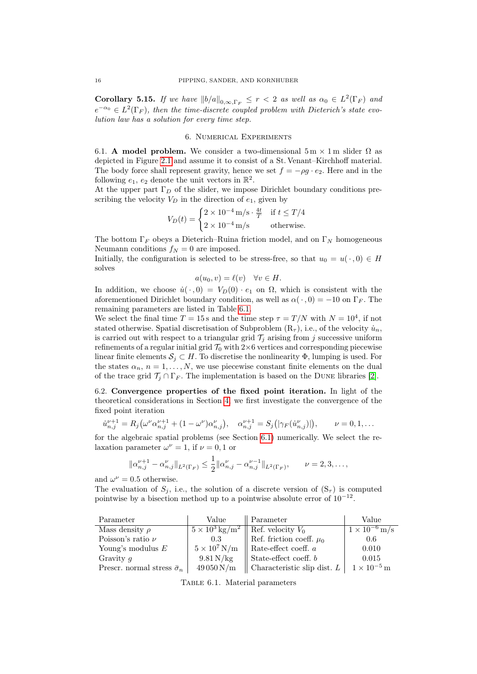**Corollary 5.15.** If we have  $||b/a||_{0,\infty,\Gamma_F} \leq r < 2$  as well as  $\alpha_0 \in L^2(\Gamma_F)$  and  $e^{-\alpha_0} \in L^2(\Gamma_F)$ , then the time-discrete coupled problem with Dieterich's state evolution law has a solution for every time step.

## 6. Numerical Experiments

<span id="page-15-2"></span><span id="page-15-0"></span>6.1. A model problem. We consider a two-dimensional  $5 \text{ m} \times 1 \text{ m}$  slider  $\Omega$  as depicted in Figure [2.1](#page-2-0) and assume it to consist of a St. Venant–Kirchhoff material. The body force shall represent gravity, hence we set  $f = -\rho g \cdot e_2$ . Here and in the following  $e_1, e_2$  denote the unit vectors in  $\mathbb{R}^2$ .

At the upper part  $\Gamma_D$  of the slider, we impose Dirichlet boundary conditions prescribing the velocity  $V_D$  in the direction of  $e_1$ , given by

$$
V_D(t) = \begin{cases} 2 \times 10^{-4} \text{ m/s} \cdot \frac{4t}{T} & \text{if } t \le T/4 \\ 2 \times 10^{-4} \text{ m/s} & \text{otherwise.} \end{cases}
$$

The bottom  $\Gamma_F$  obeys a Dieterich–Ruina friction model, and on  $\Gamma_N$  homogeneous Neumann conditions  $f_N = 0$  are imposed.

Initially, the configuration is selected to be stress-free, so that  $u_0 = u(\cdot, 0) \in H$ solves

$$
a(u_0, v) = \ell(v) \quad \forall v \in H.
$$

In addition, we choose  $\dot{u}(\cdot,0) = V_D(0) \cdot e_1$  on  $\Omega$ , which is consistent with the aforementioned Dirichlet boundary condition, as well as  $\alpha(\cdot, 0) = -10$  on  $\Gamma_F$ . The remaining parameters are listed in Table [6.1.](#page-15-1)

We select the final time  $T = 15$  s and the time step  $\tau = T/N$  with  $N = 10^4$ , if not stated otherwise. Spatial discretisation of Subproblem  $(R<sub>\tau</sub>)$ , i.e., of the velocity  $\dot{u}_n$ , is carried out with respect to a triangular grid  $\mathcal{T}_j$  arising from j successive uniform refinements of a regular initial grid  $\mathcal{T}_0$  with 2×6 vertices and corresponding piecewise linear finite elements  $S_i \subset H$ . To discretise the nonlinearity  $\Phi$ , lumping is used. For the states  $\alpha_n$ ,  $n = 1, ..., N$ , we use piecewise constant finite elements on the dual of the trace grid  $\mathcal{T}_j \cap \Gamma_F$ . The implementation is based on the DUNE libraries [\[2\]](#page-18-8).

6.2. Convergence properties of the fixed point iteration. In light of the theoretical considerations in Section [4,](#page-6-2) we first investigate the convergence of the fixed point iteration

$$
\dot{u}_{n,j}^{\nu+1} = R_j(\omega^{\nu} \alpha_{n,j}^{\nu+1} + (1 - \omega^{\nu}) \alpha_{n,j}^{\nu}), \quad \alpha_{n,j}^{\nu+1} = S_j(|\gamma_F(\dot{u}_{n,j}^{\nu})|), \qquad \nu = 0, 1, \dots
$$

for the algebraic spatial problems (see Section [6.1\)](#page-15-2) numerically. We select the relaxation parameter  $\omega^{\nu} = 1$ , if  $\nu = 0, 1$  or

$$
\|\alpha_{n,j}^{\nu+1} - \alpha_{n,j}^{\nu}\|_{L^2(\Gamma_F)} \le \frac{1}{2} \|\alpha_{n,j}^{\nu} - \alpha_{n,j}^{\nu-1}\|_{L^2(\Gamma_F)}, \qquad \nu = 2, 3, \dots,
$$

and  $\omega^{\nu} = 0.5$  otherwise.

The evaluation of  $S_i$ , i.e., the solution of a discrete version of  $(S_{\tau})$  is computed pointwise by a bisection method up to a pointwise absolute error of  $10^{-12}$ .

<span id="page-15-1"></span>

| Parameter                              | Value                          | $\parallel$ Parameter                                | Value                  |
|----------------------------------------|--------------------------------|------------------------------------------------------|------------------------|
| Mass density $\rho$                    |                                | $5 \times 10^3 \text{ kg/m}^2$   Ref. velocity $V_0$ | $1 \times 10^{-6}$ m/s |
| Poisson's ratio $\nu$                  | 0.3                            | Ref. friction coeff. $\mu_0$                         | 0.6                    |
| Young's modulus $E$                    | $5 \times 10^7 \,\mathrm{N/m}$ | Rate-effect coeff. $a$                               | 0.010                  |
| Gravity $q$                            | $9.81\,\mathrm{N/kg}$          | State-effect coeff. $b$                              | 0.015                  |
| Prescr. normal stress $\bar{\sigma}_n$ | $49050\,\mathrm{N/m}$          | Characteristic slip dist. $L$                        | $1 \times 10^{-5}$ m   |

TABLE 6.1. Material parameters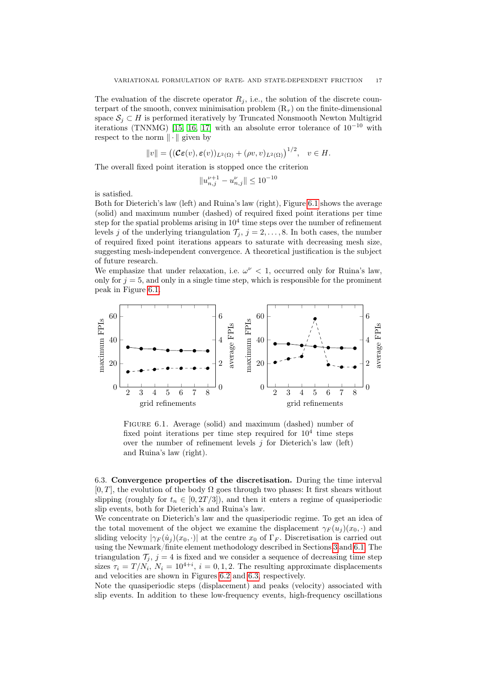The evaluation of the discrete operator  $R_j$ , i.e., the solution of the discrete counterpart of the smooth, convex minimisation problem  $(R<sub>\tau</sub>)$  on the finite-dimensional space  $S_i \subset H$  is performed iteratively by Truncated Nonsmooth Newton Multigrid iterations (TNNMG) [\[15,](#page-19-19) [16,](#page-19-20) [17\]](#page-19-21) with an absolute error tolerance of  $10^{-10}$  with respect to the norm  $\|\cdot\|$  given by

$$
||v|| = ((\mathcal{C}\varepsilon(v), \varepsilon(v))_{L^2(\Omega)} + (\rho v, v)_{L^2(\Omega)})^{1/2}, \quad v \in H.
$$

The overall fixed point iteration is stopped once the criterion

$$
\|u^{\nu+1}_{n,j}-u^\nu_{n,j}\|\leq 10^{-10}
$$

is satisfied.

Both for Dieterich's law (left) and Ruina's law (right), Figure [6.1](#page-16-0) shows the average (solid) and maximum number (dashed) of required fixed point iterations per time step for the spatial problems arising in  $10^4$  time steps over the number of refinement levels j of the underlying triangulation  $\mathcal{T}_i$ ,  $j = 2, \ldots, 8$ . In both cases, the number of required fixed point iterations appears to saturate with decreasing mesh size, suggesting mesh-independent convergence. A theoretical justification is the subject of future research.

We emphasize that under relaxation, i.e.  $\omega^{\nu} < 1$ , occurred only for Ruina's law, only for  $j = 5$ , and only in a single time step, which is responsible for the prominent peak in Figure [6.1.](#page-16-0)

<span id="page-16-0"></span>

Figure 6.1. Average (solid) and maximum (dashed) number of fixed point iterations per time step required for  $10^4$  time steps over the number of refinement levels  $j$  for Dieterich's law (left) and Ruina's law (right).

6.3. Convergence properties of the discretisation. During the time interval  $[0, T]$ , the evolution of the body  $\Omega$  goes through two phases: It first shears without slipping (roughly for  $t_n \in [0, 2T/3]$ ), and then it enters a regime of quasiperiodic slip events, both for Dieterich's and Ruina's law.

We concentrate on Dieterich's law and the quasiperiodic regime. To get an idea of the total movement of the object we examine the displacement  $\gamma_F(u_i)(x_0, \cdot)$  and sliding velocity  $|\gamma_F(u_i)(x_0,\cdot)|$  at the centre  $x_0$  of  $\Gamma_F$ . Discretisation is carried out using the Newmark/finite element methodology described in Sections [3](#page-5-8) and [6.1.](#page-15-2) The triangulation  $\mathcal{T}_j$ ,  $j = 4$  is fixed and we consider a sequence of decreasing time step sizes  $\tau_i = T/N_i$ ,  $N_i = 10^{4+i}$ ,  $i = 0, 1, 2$ . The resulting approximate displacements and velocities are shown in Figures [6.2](#page-17-0) and [6.3,](#page-17-1) respectively.

Note the quasiperiodic steps (displacement) and peaks (velocity) associated with slip events. In addition to these low-frequency events, high-frequency oscillations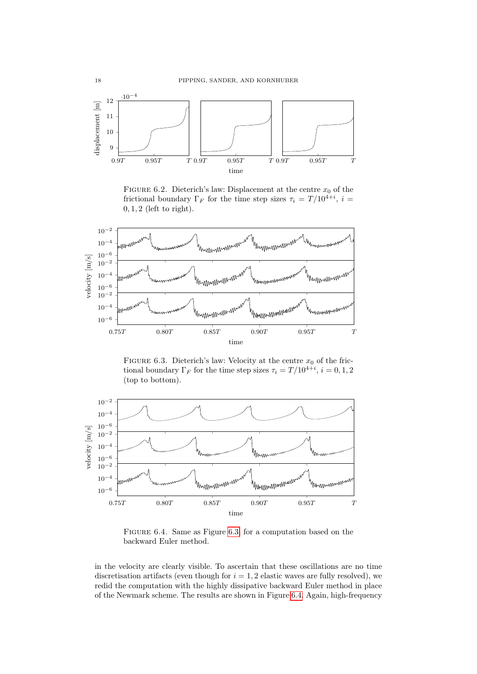<span id="page-17-0"></span>

FIGURE 6.2. Dieterich's law: Displacement at the centre  $x_0$  of the frictional boundary  $\Gamma_F$  for the time step sizes  $\tau_i = T/10^{4+i}$ ,  $i =$ , 1, 2 (left to right).

<span id="page-17-1"></span>

FIGURE 6.3. Dieterich's law: Velocity at the centre  $x_0$  of the frictional boundary  $\Gamma_F$  for the time step sizes  $\tau_i = T/10^{4+i}$ ,  $i = 0, 1, 2$ (top to bottom).

<span id="page-17-2"></span>

Figure 6.4. Same as Figure [6.3,](#page-17-1) for a computation based on the backward Euler method.

in the velocity are clearly visible. To ascertain that these oscillations are no time discretisation artifacts (even though for  $i = 1, 2$  elastic waves are fully resolved), we redid the computation with the highly dissipative backward Euler method in place of the Newmark scheme. The results are shown in Figure [6.4.](#page-17-2) Again, high-frequency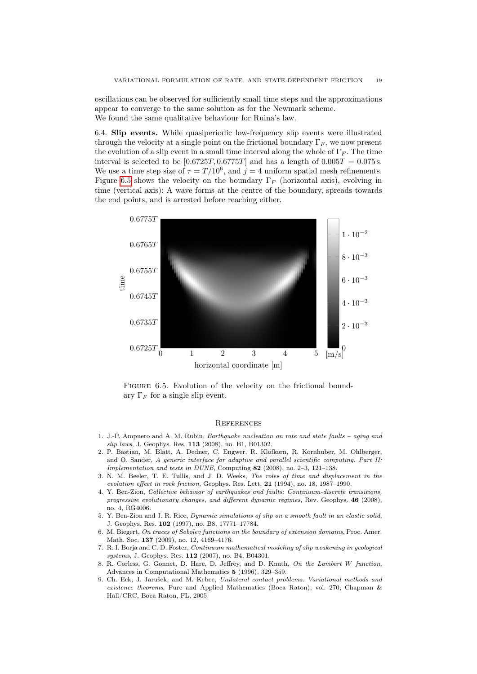oscillations can be observed for sufficiently small time steps and the approximations appear to converge to the same solution as for the Newmark scheme. We found the same qualitative behaviour for Ruina's law.

6.4. Slip events. While quasiperiodic low-frequency slip events were illustrated through the velocity at a single point on the frictional boundary  $\Gamma_F$ , we now present the evolution of a slip event in a small time interval along the whole of  $\Gamma_F$ . The time interval is selected to be  $[0.6725T, 0.6775T]$  and has a length of  $0.005T = 0.075$  s. We use a time step size of  $\tau = T/10^6$ , and  $j = 4$  uniform spatial mesh refinements. Figure [6.5](#page-18-9) shows the velocity on the boundary  $\Gamma_F$  (horizontal axis), evolving in time (vertical axis): A wave forms at the centre of the boundary, spreads towards the end points, and is arrested before reaching either.

<span id="page-18-9"></span>

FIGURE 6.5. Evolution of the velocity on the frictional boundary  $\Gamma_F$  for a single slip event.

### **REFERENCES**

- <span id="page-18-4"></span>1. J.-P. Ampuero and A. M. Rubin, *Earthquake nucleation on rate and state faults – aging and* slip laws, J. Geophys. Res. 113 (2008), no. B1, B01302.
- <span id="page-18-8"></span>2. P. Bastian, M. Blatt, A. Dedner, C. Engwer, R. Klöfkorn, R. Kornhuber, M. Ohlberger, and O. Sander, A generic interface for adaptive and parallel scientific computing. Part II: Implementation and tests in DUNE, Computing 82 (2008), no. 2–3, 121–138.
- <span id="page-18-5"></span>3. N. M. Beeler, T. E. Tullis, and J. D. Weeks, The roles of time and displacement in the evolution effect in rock friction, Geophys. Res. Lett. 21 (1994), no. 18, 1987–1990.
- <span id="page-18-0"></span>4. Y. Ben-Zion, Collective behavior of earthquakes and faults: Continuum-discrete transitions, progressive evolutionary changes, and different dynamic regimes, Rev. Geophys. 46 (2008), no. 4, RG4006.
- <span id="page-18-2"></span>5. Y. Ben-Zion and J. R. Rice, Dynamic simulations of slip on a smooth fault in an elastic solid, J. Geophys. Res. 102 (1997), no. B8, 17771–17784.
- <span id="page-18-6"></span>6. M. Biegert, On traces of Sobolev functions on the boundary of extension domains, Proc. Amer. Math. Soc. 137 (2009), no. 12, 4169–4176.
- <span id="page-18-3"></span>7. R. I. Borja and C. D. Foster, Continuum mathematical modeling of slip weakening in geological systems, J. Geophys. Res. 112 (2007), no. B4, B04301.
- <span id="page-18-7"></span>8. R. Corless, G. Gonnet, D. Hare, D. Jeffrey, and D. Knuth, On the Lambert W function, Advances in Computational Mathematics 5 (1996), 329–359.
- <span id="page-18-1"></span>9. Ch. Eck, J. Jarušek, and M. Krbec, Unilateral contact problems: Variational methods and existence theorems, Pure and Applied Mathematics (Boca Raton), vol. 270, Chapman & Hall/CRC, Boca Raton, FL, 2005.